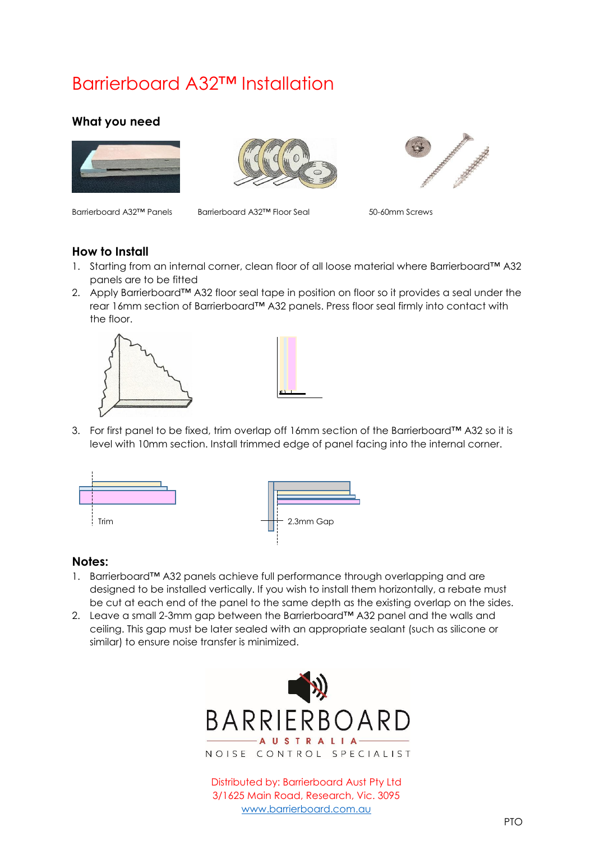# Barrierboard A32™ Installation

## **What you need**







Barrierboard A32™ Panels Barrierboard A32™ Floor Seal 50-60mm Screws

### **How to Install**

- 1. Starting from an internal corner, clean floor of all loose material where Barrierboard™ A32 panels are to be fitted
- 2. Apply Barrierboard™ A32 floor seal tape in position on floor so it provides a seal under the rear 16mm section of Barrierboard™ A32 panels. Press floor seal firmly into contact with the floor.





3. For first panel to be fixed, trim overlap off 16mm section of the Barrierboard™ A32 so it is level with 10mm section. Install trimmed edge of panel facing into the internal corner.



#### **Notes:**

- 1. Barrierboard™ A32 panels achieve full performance through overlapping and are designed to be installed vertically. If you wish to install them horizontally, a rebate must be cut at each end of the panel to the same depth as the existing overlap on the sides.
- 2. Leave a small 2-3mm gap between the Barrierboard™ A32 panel and the walls and ceiling. This gap must be later sealed with an appropriate sealant (such as silicone or similar) to ensure noise transfer is minimized.



Distributed by: Barrierboard Aust Pty Ltd 3/1625 Main Road, Research, Vic. 3095 [www.barrierboard.com.au](http://www.barrierboard.com.au/)